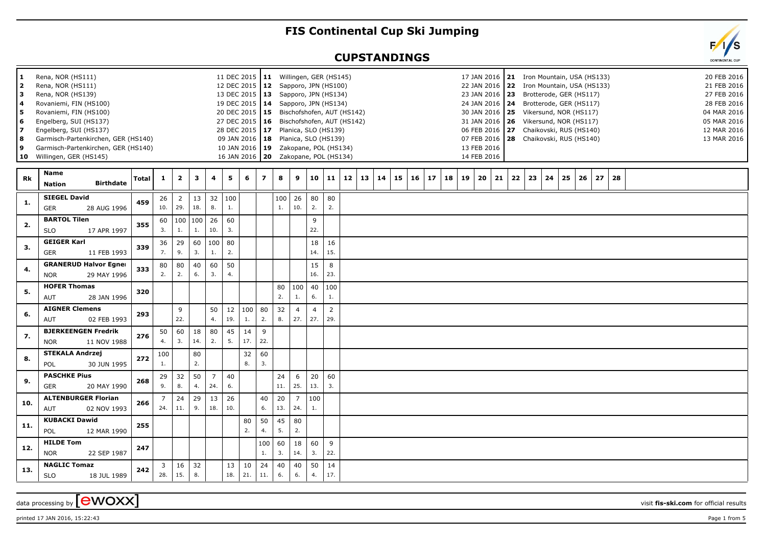## **FIS Continental Cup Ski Jumping**

## **CUPSTANDINGS**

| 1.<br>2<br>з<br>4<br>5<br>6<br>7<br>8<br>9 | Rena, NOR (HS111)<br>Rena, NOR (HS111)<br>Rena, NOR (HS139)<br>Rovaniemi, FIN (HS100)<br>Rovaniemi, FIN (HS100)<br>Engelberg, SUI (HS137)<br>Engelberg, SUI (HS137)<br>Garmisch-Partenkirchen, GER (HS140)<br>Garmisch-Partenkirchen, GER (HS140)<br>10 Willingen, GER (HS145) |       |           |                       |                         |                       | 11 DEC 2015   11<br>09 JAN 2016   18 |           |                         |           | Willingen, GER (HS145)<br>12 DEC 2015   12 Sapporo, JPN (HS100)<br>13 DEC 2015   13 Sapporo, JPN (HS134)<br>19 DEC 2015   14 Sapporo, JPN (HS134)<br>28 DEC 2015 17 Planica, SLO (HS139)<br>Planica, SLO (HS139)<br>10 JAN 2016   19 Zakopane, POL (HS134)<br>16 JAN 2016   20 Zakopane, POL (HS134) |                       |                       | 20 DEC 2015   15 Bischofshofen, AUT (HS142)<br>27 DEC 2015   16 Bischofshofen, AUT (HS142) |    |    |    |    |    |    |    | 13 FEB 2016<br>14 FEB 2016 |    |    |    |    | 23 JAN 2016   23 Brotterode, GER (HS117)<br>24 JAN 2016   24 Brotterode, GER (HS117)<br>30 JAN 2016   25 Vikersund, NOR (HS117)<br>31 JAN 2016   26 Vikersund, NOR (HS117)<br>06 FEB 2016 27 Chaikovski, RUS (HS140)<br>07 FEB 2016   28 Chaikovski, RUS (HS140) |    | 17 JAN 2016   21 Iron Mountain, USA (HS133)<br>22 JAN 2016   22 Iron Mountain, USA (HS133) |    |  |  | 20 FEB 2016<br>21 FEB 2016<br>27 FEB 2016<br>28 FEB 2016<br>04 MAR 2016<br>05 MAR 2016<br>12 MAR 2016<br>13 MAR 2016 |  |
|--------------------------------------------|--------------------------------------------------------------------------------------------------------------------------------------------------------------------------------------------------------------------------------------------------------------------------------|-------|-----------|-----------------------|-------------------------|-----------------------|--------------------------------------|-----------|-------------------------|-----------|------------------------------------------------------------------------------------------------------------------------------------------------------------------------------------------------------------------------------------------------------------------------------------------------------|-----------------------|-----------------------|--------------------------------------------------------------------------------------------|----|----|----|----|----|----|----|----------------------------|----|----|----|----|------------------------------------------------------------------------------------------------------------------------------------------------------------------------------------------------------------------------------------------------------------------|----|--------------------------------------------------------------------------------------------|----|--|--|----------------------------------------------------------------------------------------------------------------------|--|
| Rk                                         | <b>Name</b><br><b>Birthdate</b><br><b>Nation</b>                                                                                                                                                                                                                               | Total | 1         | $\mathbf{2}$          | $\overline{\mathbf{3}}$ | 4                     | 5                                    | 6         | $\overline{\mathbf{z}}$ | 8         | 9                                                                                                                                                                                                                                                                                                    | 10                    | 11                    | 12                                                                                         | 13 | 14 | 15 | 16 | 17 | 18 | 19 | 20                         | 21 | 22 | 23 | 24 | 25                                                                                                                                                                                                                                                               | 26 | 27                                                                                         | 28 |  |  |                                                                                                                      |  |
| 1.                                         | <b>SIEGEL David</b><br>GER<br>28 AUG 1996                                                                                                                                                                                                                                      | 459   | 26<br>10. | $\overline{2}$<br>29. | 13<br>18.               | 32<br>8.              | 100<br>1.                            |           |                         | 100<br>1. | 26<br>10.                                                                                                                                                                                                                                                                                            | 80<br>2.              | 80<br>2.              |                                                                                            |    |    |    |    |    |    |    |                            |    |    |    |    |                                                                                                                                                                                                                                                                  |    |                                                                                            |    |  |  |                                                                                                                      |  |
| 2.                                         | <b>BARTOL Tilen</b><br><b>SLO</b><br>17 APR 1997                                                                                                                                                                                                                               | 355   | 60<br>3.  | 100<br>1.             | 100<br>1.               | 26<br>10.             | 60<br>3.                             |           |                         |           |                                                                                                                                                                                                                                                                                                      | 9<br>22.              |                       |                                                                                            |    |    |    |    |    |    |    |                            |    |    |    |    |                                                                                                                                                                                                                                                                  |    |                                                                                            |    |  |  |                                                                                                                      |  |
| 3.                                         | <b>GEIGER Karl</b><br>GER<br>11 FEB 1993                                                                                                                                                                                                                                       | 339   | 36<br>7.  | 29<br>9.              | 60<br>3.                | 100<br>1.             | 80<br>2.                             |           |                         |           |                                                                                                                                                                                                                                                                                                      | 18<br>14.             | 16<br>15.             |                                                                                            |    |    |    |    |    |    |    |                            |    |    |    |    |                                                                                                                                                                                                                                                                  |    |                                                                                            |    |  |  |                                                                                                                      |  |
| 4.                                         | <b>GRANERUD Halvor Egner</b><br><b>NOR</b><br>29 MAY 1996                                                                                                                                                                                                                      | 333   | 80<br>2.  | 80<br>2.              | 40<br>6.                | 60<br>3.              | 50<br>4.                             |           |                         |           |                                                                                                                                                                                                                                                                                                      | 15<br>16.             | 8<br>23.              |                                                                                            |    |    |    |    |    |    |    |                            |    |    |    |    |                                                                                                                                                                                                                                                                  |    |                                                                                            |    |  |  |                                                                                                                      |  |
| 5.                                         | <b>HOFER Thomas</b><br>AUT<br>28 JAN 1996                                                                                                                                                                                                                                      | 320   |           |                       |                         |                       |                                      |           |                         | 80<br>2.  | 100<br>1.                                                                                                                                                                                                                                                                                            | 40<br>6.              | 100<br>1.             |                                                                                            |    |    |    |    |    |    |    |                            |    |    |    |    |                                                                                                                                                                                                                                                                  |    |                                                                                            |    |  |  |                                                                                                                      |  |
| 6.                                         | <b>AIGNER Clemens</b><br><b>AUT</b><br>02 FEB 1993                                                                                                                                                                                                                             | 293   |           | 9<br>22.              |                         | 50<br>4.              | 12<br>19.                            | 100<br>1. | 80<br>2.                | 32<br>8.  | $\overline{4}$<br>27.                                                                                                                                                                                                                                                                                | $\overline{4}$<br>27. | $\overline{2}$<br>29. |                                                                                            |    |    |    |    |    |    |    |                            |    |    |    |    |                                                                                                                                                                                                                                                                  |    |                                                                                            |    |  |  |                                                                                                                      |  |
| 7.                                         | <b>BJERKEENGEN Fredrik</b><br><b>NOR</b><br>11 NOV 1988                                                                                                                                                                                                                        | 276   | 50<br>4.  | 60<br>3.              | 18<br>14.               | 80<br>2.              | 45<br>5.                             | 14<br>17. | 9<br>22.                |           |                                                                                                                                                                                                                                                                                                      |                       |                       |                                                                                            |    |    |    |    |    |    |    |                            |    |    |    |    |                                                                                                                                                                                                                                                                  |    |                                                                                            |    |  |  |                                                                                                                      |  |
| 8.                                         | <b>STEKALA Andrzej</b><br>POL<br>30 JUN 1995                                                                                                                                                                                                                                   | 272   | 100<br>1. |                       | 80<br>2.                |                       |                                      | 32<br>8.  | 60<br>3.                |           |                                                                                                                                                                                                                                                                                                      |                       |                       |                                                                                            |    |    |    |    |    |    |    |                            |    |    |    |    |                                                                                                                                                                                                                                                                  |    |                                                                                            |    |  |  |                                                                                                                      |  |
| 9.                                         | <b>PASCHKE Pius</b><br><b>GER</b><br>20 MAY 1990                                                                                                                                                                                                                               | 268   | 29<br>9.  | 32<br>8.              | 50<br>4.                | $\overline{7}$<br>24. | 40<br>6.                             |           |                         | 24<br>11. | 6<br>25.                                                                                                                                                                                                                                                                                             | 20<br>13.             | 60<br>3.              |                                                                                            |    |    |    |    |    |    |    |                            |    |    |    |    |                                                                                                                                                                                                                                                                  |    |                                                                                            |    |  |  |                                                                                                                      |  |
| 10.                                        | <b>ALTENBURGER Florian</b><br>AUT<br>02 NOV 1993                                                                                                                                                                                                                               | 266   | 7<br>24.  | 24<br>11.             | 29<br>9.                | 13<br>18.             | 26<br>10.                            |           | 40<br>6.                | 20<br>13. | $\overline{7}$<br>24.                                                                                                                                                                                                                                                                                | 100<br>1.             |                       |                                                                                            |    |    |    |    |    |    |    |                            |    |    |    |    |                                                                                                                                                                                                                                                                  |    |                                                                                            |    |  |  |                                                                                                                      |  |
| 11.                                        | <b>KUBACKI Dawid</b><br><b>POL</b><br>12 MAR 1990                                                                                                                                                                                                                              | 255   |           |                       |                         |                       |                                      | 80<br>2.  | 50<br>4.                | 45<br>5.  | 80<br>2.                                                                                                                                                                                                                                                                                             |                       |                       |                                                                                            |    |    |    |    |    |    |    |                            |    |    |    |    |                                                                                                                                                                                                                                                                  |    |                                                                                            |    |  |  |                                                                                                                      |  |
| 12.                                        | <b>HILDE Tom</b><br><b>NOR</b><br>22 SEP 1987                                                                                                                                                                                                                                  | 247   |           |                       |                         |                       |                                      |           | 100<br>1.               | 60<br>3.  | 18<br>14.                                                                                                                                                                                                                                                                                            | 60<br>3.              | 9<br>22.              |                                                                                            |    |    |    |    |    |    |    |                            |    |    |    |    |                                                                                                                                                                                                                                                                  |    |                                                                                            |    |  |  |                                                                                                                      |  |
| 13.                                        | <b>NAGLIC Tomaz</b><br><b>SLO</b><br>18 JUL 1989                                                                                                                                                                                                                               | 242   | 3<br>28.  | 16<br>15.             | 32<br>8.                |                       | 13<br>18.                            | 10<br>21. | 24<br>11.               | 40<br>6.  | 40<br>6.                                                                                                                                                                                                                                                                                             | 50<br>4.              | 14<br>17.             |                                                                                            |    |    |    |    |    |    |    |                            |    |    |    |    |                                                                                                                                                                                                                                                                  |    |                                                                                            |    |  |  |                                                                                                                      |  |
|                                            |                                                                                                                                                                                                                                                                                |       |           |                       |                         |                       |                                      |           |                         |           |                                                                                                                                                                                                                                                                                                      |                       |                       |                                                                                            |    |    |    |    |    |    |    |                            |    |    |    |    |                                                                                                                                                                                                                                                                  |    |                                                                                            |    |  |  |                                                                                                                      |  |

printed 17 JAN 2016, 15:22:43 Page 1 from 5

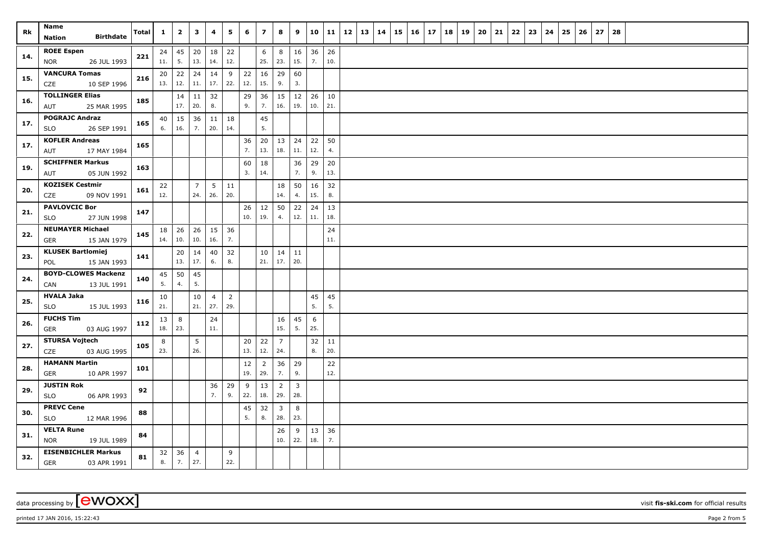| Rk  | Name<br><b>Birthdate</b><br>Nation                | <b>Total</b> | $\mathbf{1}$ | $\overline{2}$     | $\mathbf{3}$   | 4              | 5              | 6         | $\overline{z}$        | 8                       | 9              | 10 11     |           | $12 \mid 13 \mid 14$ | 15 | $16 \mid 17$ | 18 | 19 | 20 | 21 | 22 | 23 | 24 | 25 | 26 | 27 | 28 |  |  |  |
|-----|---------------------------------------------------|--------------|--------------|--------------------|----------------|----------------|----------------|-----------|-----------------------|-------------------------|----------------|-----------|-----------|----------------------|----|--------------|----|----|----|----|----|----|----|----|----|----|----|--|--|--|
|     | <b>ROEE Espen</b>                                 |              |              |                    |                |                |                |           |                       |                         |                |           |           |                      |    |              |    |    |    |    |    |    |    |    |    |    |    |  |  |  |
| 14. | <b>NOR</b><br>26 JUL 1993                         | 221          | 24<br>11.    | $ 45\rangle$<br>5. | 20<br>13.      | 18<br>14.      | 22<br>12.      |           | 6<br>25.              | 8<br>23.                | 16<br>15.      | 36<br>7.  | 26<br>10. |                      |    |              |    |    |    |    |    |    |    |    |    |    |    |  |  |  |
|     | <b>VANCURA Tomas</b>                              |              | 20           | 22                 | 24             | 14             | 9              | 22        | 16                    | 29                      | 60             |           |           |                      |    |              |    |    |    |    |    |    |    |    |    |    |    |  |  |  |
| 15. | 10 SEP 1996<br>CZE                                | 216          | 13.          | 12.                | 11.            | 17.            | 22.            | 12.       | 15.                   | 9.                      | 3.             |           |           |                      |    |              |    |    |    |    |    |    |    |    |    |    |    |  |  |  |
|     | <b>TOLLINGER Elias</b>                            |              |              | 14                 | 11             | 32             |                | 29        | 36                    | 15                      | 12             | 26        | 10        |                      |    |              |    |    |    |    |    |    |    |    |    |    |    |  |  |  |
| 16. | AUT<br>25 MAR 1995                                | 185          |              | 17.                | 20.            | 8.             |                | 9.        | 7.                    | 16.                     | 19.            | 10.       | 21.       |                      |    |              |    |    |    |    |    |    |    |    |    |    |    |  |  |  |
| 17. | <b>POGRAJC Andraz</b>                             |              | 40           | 15                 | 36             | 11             | 18             |           | 45                    |                         |                |           |           |                      |    |              |    |    |    |    |    |    |    |    |    |    |    |  |  |  |
|     | <b>SLO</b><br>26 SEP 1991                         | 165          | 6.           | 16.                | 7.             | 20.            | 14.            |           | 5.                    |                         |                |           |           |                      |    |              |    |    |    |    |    |    |    |    |    |    |    |  |  |  |
| 17. | <b>KOFLER Andreas</b>                             | 165          |              |                    |                |                |                | 36        | 20                    | 13                      | 24             | 22        | 50        |                      |    |              |    |    |    |    |    |    |    |    |    |    |    |  |  |  |
|     | 17 MAY 1984<br>AUT                                |              |              |                    |                |                |                | 7.        | 13.                   | 18.                     | 11.            | 12.       | 4.        |                      |    |              |    |    |    |    |    |    |    |    |    |    |    |  |  |  |
| 19. | <b>SCHIFFNER Markus</b>                           | 163          |              |                    |                |                |                | 60        | 18                    |                         | 36             | 29        | 20        |                      |    |              |    |    |    |    |    |    |    |    |    |    |    |  |  |  |
|     | AUT<br>05 JUN 1992                                |              |              |                    |                |                |                | 3.        | 14.                   |                         | 7.             | 9.        | 13.       |                      |    |              |    |    |    |    |    |    |    |    |    |    |    |  |  |  |
| 20. | <b>KOZISEK Cestmir</b>                            | 161          | 22           |                    | $\overline{7}$ | 5 <sup>5</sup> | 11             |           |                       | 18                      | 50             | 16        | 32        |                      |    |              |    |    |    |    |    |    |    |    |    |    |    |  |  |  |
|     | CZE<br>09 NOV 1991                                |              | 12.          |                    | 24.            | 26.            | 20.            |           |                       | 14.                     | 4.             | 15.       | 8.        |                      |    |              |    |    |    |    |    |    |    |    |    |    |    |  |  |  |
| 21. | <b>PAVLOVCIC Bor</b><br><b>SLO</b><br>27 JUN 1998 | 147          |              |                    |                |                |                | 26<br>10. | 12<br>19.             | 50<br>4.                | 22<br>12.      | 24<br>11. | 13<br>18. |                      |    |              |    |    |    |    |    |    |    |    |    |    |    |  |  |  |
|     | <b>NEUMAYER Michael</b>                           |              |              | $18 \mid 26 \mid$  | 26             | 15             | 36             |           |                       |                         |                |           | 24        |                      |    |              |    |    |    |    |    |    |    |    |    |    |    |  |  |  |
| 22. | 15 JAN 1979<br><b>GER</b>                         | 145          | 14.          | 10.                | 10.            | 16.            | 7.             |           |                       |                         |                |           | 11.       |                      |    |              |    |    |    |    |    |    |    |    |    |    |    |  |  |  |
|     | <b>KLUSEK Bartlomiej</b>                          |              |              | 20                 | 14             | 40             | 32             |           | 10                    | $14 \mid 11$            |                |           |           |                      |    |              |    |    |    |    |    |    |    |    |    |    |    |  |  |  |
| 23. | POL<br>15 JAN 1993                                | 141          |              | 13.                | 17.            | 6.             | 8.             |           | 21.                   | 17.                     | 20.            |           |           |                      |    |              |    |    |    |    |    |    |    |    |    |    |    |  |  |  |
| 24. | <b>BOYD-CLOWES Mackenzi</b>                       | 140          | 45           | 50                 | 45             |                |                |           |                       |                         |                |           |           |                      |    |              |    |    |    |    |    |    |    |    |    |    |    |  |  |  |
|     | CAN<br>13 JUL 1991                                |              | 5.           | 4.                 | 5.             |                |                |           |                       |                         |                |           |           |                      |    |              |    |    |    |    |    |    |    |    |    |    |    |  |  |  |
| 25. | HVALA Jaka                                        | 116          | 10           |                    | 10             | $\overline{4}$ | $\overline{2}$ |           |                       |                         |                | 45        | 45        |                      |    |              |    |    |    |    |    |    |    |    |    |    |    |  |  |  |
|     | SLO<br>15 JUL 1993                                |              | 21.          |                    | 21.            | 27.            | 29.            |           |                       |                         |                | 5.        | 5.        |                      |    |              |    |    |    |    |    |    |    |    |    |    |    |  |  |  |
| 26. | <b>FUCHS Tim</b>                                  | 112          | 13           | 8                  |                | 24             |                |           |                       | 16                      | 45             | 6         |           |                      |    |              |    |    |    |    |    |    |    |    |    |    |    |  |  |  |
|     | 03 AUG 1997<br>GER                                |              | 18.          | 23.                |                | 11.            |                |           |                       | 15.                     | 5.             | 25.       |           |                      |    |              |    |    |    |    |    |    |    |    |    |    |    |  |  |  |
| 27. | <b>STURSA Vojtech</b>                             | 105          | 8<br>23.     |                    | 5<br>26.       |                |                | 20<br>13. | $22$<br>12.           | $\overline{7}$<br>24.   |                | 32<br>8.  | 11<br>20. |                      |    |              |    |    |    |    |    |    |    |    |    |    |    |  |  |  |
|     | 03 AUG 1995<br>CZE<br><b>HAMANN Martin</b>        |              |              |                    |                |                |                |           |                       |                         | 29             |           | 22        |                      |    |              |    |    |    |    |    |    |    |    |    |    |    |  |  |  |
| 28. | 10 APR 1997<br>GER                                | 101          |              |                    |                |                |                | 12<br>19. | $\overline{2}$<br>29. | 36<br>7.                | 9.             |           | 12.       |                      |    |              |    |    |    |    |    |    |    |    |    |    |    |  |  |  |
|     | <b>JUSTIN Rok</b>                                 |              |              |                    |                | 36             | 29             | 9         | 13                    | $\overline{2}$          | $\overline{3}$ |           |           |                      |    |              |    |    |    |    |    |    |    |    |    |    |    |  |  |  |
| 29. | 06 APR 1993<br>SLO                                | 92           |              |                    |                | 7.             | 9.             | 22.       | 18.                   | 29.                     | 28.            |           |           |                      |    |              |    |    |    |    |    |    |    |    |    |    |    |  |  |  |
|     | <b>PREVC Cene</b>                                 |              |              |                    |                |                |                | 45        | 32                    | $\overline{\mathbf{3}}$ | 8              |           |           |                      |    |              |    |    |    |    |    |    |    |    |    |    |    |  |  |  |
| 30. | SLO<br>12 MAR 1996                                | 88           |              |                    |                |                |                | 5.        | 8.                    | 28.                     | 23.            |           |           |                      |    |              |    |    |    |    |    |    |    |    |    |    |    |  |  |  |
| 31. | <b>VELTA Rune</b>                                 | 84           |              |                    |                |                |                |           |                       | 26                      | 9              | 13        | 36        |                      |    |              |    |    |    |    |    |    |    |    |    |    |    |  |  |  |
|     | NOR<br>19 JUL 1989                                |              |              |                    |                |                |                |           |                       | 10.                     | 22.            | 18.       | 7.        |                      |    |              |    |    |    |    |    |    |    |    |    |    |    |  |  |  |
| 32. | <b>EISENBICHLER Markus</b>                        | 81           | 32           | 36                 | $\overline{4}$ |                | 9              |           |                       |                         |                |           |           |                      |    |              |    |    |    |    |    |    |    |    |    |    |    |  |  |  |
|     | <b>GER</b><br>03 APR 1991                         |              | 8.           | 7.                 | 27.            |                | 22.            |           |                       |                         |                |           |           |                      |    |              |    |    |    |    |    |    |    |    |    |    |    |  |  |  |

data processing by **CWOXX** visit **fis-ski.com** for official results

printed 17 JAN 2016, 15:22:43 Page 2 from 5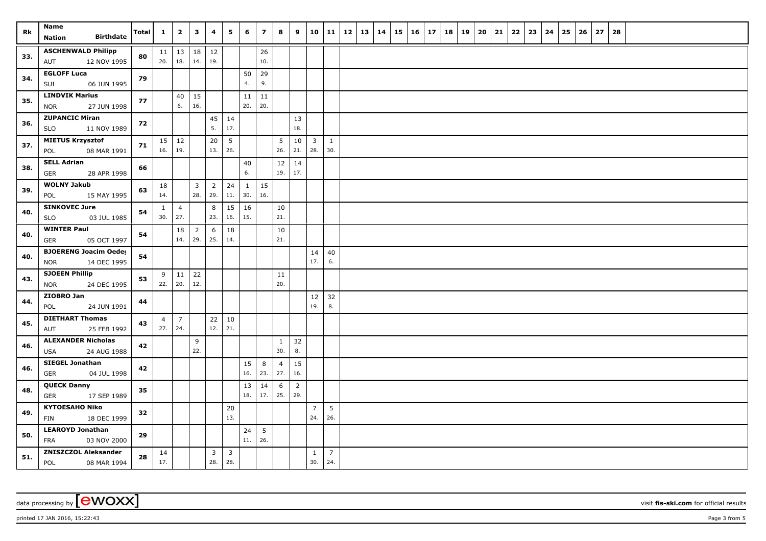| Rk  | Name<br><b>Birthdate</b><br>Nation                        | <b>Total</b> | $\mathbf{1}$                | $\overline{2}$        | $\mathbf{3}$          | 4                     | 5                              | 6                   | $\overline{z}$         | 8                     | 9                     | 10                             | 11                    | 12 | 13 | 14 | $15 \mid 16$ | 17 | 18 | 19 | 20 | 21 | 22 | 23 | 24 | 25 | 26 | 27 | 28 |
|-----|-----------------------------------------------------------|--------------|-----------------------------|-----------------------|-----------------------|-----------------------|--------------------------------|---------------------|------------------------|-----------------------|-----------------------|--------------------------------|-----------------------|----|----|----|--------------|----|----|----|----|----|----|----|----|----|----|----|----|
| 33. | <b>ASCHENWALD Philipp</b><br>12 NOV 1995<br>AUT           | 80           | 20.                         | $11 \mid 13$<br>18.   | 18<br>14.             | 12<br>19.             |                                |                     | 26<br>10.              |                       |                       |                                |                       |    |    |    |              |    |    |    |    |    |    |    |    |    |    |    |    |
| 34. | <b>EGLOFF Luca</b><br>06 JUN 1995<br>SUI                  | 79           |                             |                       |                       |                       |                                | 50<br>4.            | 29<br>9.               |                       |                       |                                |                       |    |    |    |              |    |    |    |    |    |    |    |    |    |    |    |    |
| 35. | <b>LINDVIK Marius</b><br>27 JUN 1998<br><b>NOR</b>        | 77           |                             | 40<br>6.              | 15<br>16.             |                       |                                | 11<br>20.           | 11<br>20.              |                       |                       |                                |                       |    |    |    |              |    |    |    |    |    |    |    |    |    |    |    |    |
| 36. | <b>ZUPANCIC Miran</b><br><b>SLO</b><br>11 NOV 1989        | 72           |                             |                       |                       | 45<br>5.              | 14<br>17.                      |                     |                        |                       | 13<br>18.             |                                |                       |    |    |    |              |    |    |    |    |    |    |    |    |    |    |    |    |
| 37. | <b>MIETUS Krzysztof</b><br>08 MAR 1991<br>POL             | 71           | 16.                         | $15 \mid 12$<br> 19.  |                       | $20\,$<br>13.         | 5<br>26.                       |                     |                        | 5<br>26.              | $10\,$<br>21.         | $\overline{\mathbf{3}}$<br>28. | $\mathbf{1}$<br>30.   |    |    |    |              |    |    |    |    |    |    |    |    |    |    |    |    |
| 38. | <b>SELL Adrian</b><br><b>GER</b><br>28 APR 1998           | 66           |                             |                       |                       |                       |                                | 40<br>6.            |                        | 12<br>19.             | 14<br>17.             |                                |                       |    |    |    |              |    |    |    |    |    |    |    |    |    |    |    |    |
| 39. | <b>WOLNY Jakub</b><br>POL<br>15 MAY 1995                  | 63           | 18<br>14.                   |                       | $\mathbf{3}$<br>28.   | $\overline{2}$<br>29. | 24<br>11.                      | $\mathbf{1}$<br>30. | 15<br>16.              |                       |                       |                                |                       |    |    |    |              |    |    |    |    |    |    |    |    |    |    |    |    |
| 40. | <b>SINKOVEC Jure</b><br><b>SLO</b><br>03 JUL 1985         | 54           | $\mathbf{1}$<br>30.         | $\overline{4}$<br>27. |                       | 8<br>23.              | 15<br>16.                      | 16<br>15.           |                        | 10<br>21.             |                       |                                |                       |    |    |    |              |    |    |    |    |    |    |    |    |    |    |    |    |
| 40. | <b>WINTER Paul</b><br><b>GER</b><br>05 OCT 1997           | 54           |                             | 18<br>14.             | $\overline{2}$<br>29. | 6<br>25.              | 18<br>14.                      |                     |                        | 10<br>21.             |                       |                                |                       |    |    |    |              |    |    |    |    |    |    |    |    |    |    |    |    |
| 40. | <b>BJOERENG Joacim Oeder</b><br>14 DEC 1995<br><b>NOR</b> | 54           |                             |                       |                       |                       |                                |                     |                        |                       |                       | 14<br>17.                      | 40<br>6.              |    |    |    |              |    |    |    |    |    |    |    |    |    |    |    |    |
| 43. | <b>SJOEEN Phillip</b><br><b>NOR</b><br>24 DEC 1995        | 53           | 9<br>$22.$ 20.              | 11                    | 22<br>12.             |                       |                                |                     |                        | 11<br>20.             |                       |                                |                       |    |    |    |              |    |    |    |    |    |    |    |    |    |    |    |    |
| 44. | ZIOBRO Jan<br>24 JUN 1991<br>POL                          | 44           |                             |                       |                       |                       |                                |                     |                        |                       |                       | 12<br>19.                      | 32<br>8.              |    |    |    |              |    |    |    |    |    |    |    |    |    |    |    |    |
| 45. | <b>DIETHART Thomas</b><br>25 FEB 1992<br>AUT              | 43           | $\overline{4}$<br>$27.$ 24. | $\overline{7}$        |                       | 22<br>12.             | 10<br>21.                      |                     |                        |                       |                       |                                |                       |    |    |    |              |    |    |    |    |    |    |    |    |    |    |    |    |
| 46. | <b>ALEXANDER Nicholas</b><br><b>USA</b><br>24 AUG 1988    | 42           |                             |                       | 9<br>22.              |                       |                                |                     |                        | $\mathbf{1}$<br>30.   | 32<br>8.              |                                |                       |    |    |    |              |    |    |    |    |    |    |    |    |    |    |    |    |
| 46. | <b>SIEGEL Jonathan</b><br><b>GER</b><br>04 JUL 1998       | 42           |                             |                       |                       |                       |                                | 15<br>16.           | 8<br>23.               | $\overline{4}$<br>27. | 15<br>16.             |                                |                       |    |    |    |              |    |    |    |    |    |    |    |    |    |    |    |    |
| 48. | <b>QUECK Danny</b><br><b>GER</b><br>17 SEP 1989           | 35           |                             |                       |                       |                       |                                | 13<br>18.           | 14<br>17.              | 6<br>25.              | $\overline{2}$<br>29. |                                |                       |    |    |    |              |    |    |    |    |    |    |    |    |    |    |    |    |
| 49. | <b>KYTOESAHO Niko</b><br>18 DEC 1999<br><b>FIN</b>        | 32           |                             |                       |                       |                       | 20<br>13.                      |                     |                        |                       |                       | $\overline{7}$<br>24.          | 5<br>26.              |    |    |    |              |    |    |    |    |    |    |    |    |    |    |    |    |
| 50. | <b>LEAROYD Jonathan</b><br><b>FRA</b><br>03 NOV 2000      | 29           |                             |                       |                       |                       |                                | 24<br>11.           | $5\phantom{.0}$<br>26. |                       |                       |                                |                       |    |    |    |              |    |    |    |    |    |    |    |    |    |    |    |    |
| 51. | <b>ZNISZCZOL Aleksander</b><br>POL<br>08 MAR 1994         | 28           | 14<br>17.                   |                       |                       | 3<br>28.              | $\overline{\mathbf{3}}$<br>28. |                     |                        |                       |                       | $\mathbf{1}$<br>30.            | $\overline{7}$<br>24. |    |    |    |              |    |    |    |    |    |    |    |    |    |    |    |    |

data processing by **CWOXX** visit **fis-ski.com** for official results

printed 17 JAN 2016, 15:22:43 Page 3 from 5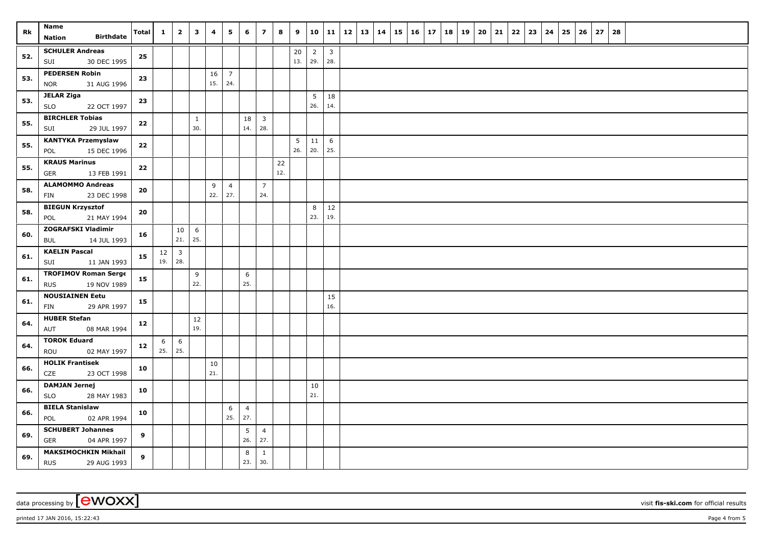| Rk  | Name<br><b>Birthdate</b><br>Nation                       | <b>Total</b> | $\mathbf{1}$ | $\overline{2}$        | $\overline{\mathbf{3}}$ | 4         | 5              | 6                      | $\overline{\mathbf{z}}$ | 8         | 9                      | 10                    | 11                    | $12 \mid 13 \mid$ | 14 | 15 16 | 17 | 18 | 19 | 20 | 21 | 22 | 23 | 24 | 25 | 26 | 27 | 28 |
|-----|----------------------------------------------------------|--------------|--------------|-----------------------|-------------------------|-----------|----------------|------------------------|-------------------------|-----------|------------------------|-----------------------|-----------------------|-------------------|----|-------|----|----|----|----|----|----|----|----|----|----|----|----|
|     | <b>SCHULER Andreas</b>                                   |              |              |                       |                         |           |                |                        |                         |           |                        |                       |                       |                   |    |       |    |    |    |    |    |    |    |    |    |    |    |    |
| 52. | SUI<br>30 DEC 1995                                       | 25           |              |                       |                         |           |                |                        |                         |           | 20<br>13.              | $\overline{2}$<br>29. | $\overline{3}$<br>28. |                   |    |       |    |    |    |    |    |    |    |    |    |    |    |    |
|     | <b>PEDERSEN Robin</b>                                    |              |              |                       |                         | 16        | $\overline{7}$ |                        |                         |           |                        |                       |                       |                   |    |       |    |    |    |    |    |    |    |    |    |    |    |    |
| 53. | 31 AUG 1996<br><b>NOR</b>                                | 23           |              |                       |                         | 15.       | 24.            |                        |                         |           |                        |                       |                       |                   |    |       |    |    |    |    |    |    |    |    |    |    |    |    |
| 53. | <b>JELAR Ziga</b>                                        | 23           |              |                       |                         |           |                |                        |                         |           |                        | 5 <sup>5</sup>        | 18                    |                   |    |       |    |    |    |    |    |    |    |    |    |    |    |    |
|     | <b>SLO</b><br>22 OCT 1997                                |              |              |                       |                         |           |                |                        |                         |           |                        | 26.                   | 14.                   |                   |    |       |    |    |    |    |    |    |    |    |    |    |    |    |
| 55. | <b>BIRCHLER Tobias</b>                                   | 22           |              |                       | $\mathbf{1}$            |           |                | 18                     | $\overline{3}$          |           |                        |                       |                       |                   |    |       |    |    |    |    |    |    |    |    |    |    |    |    |
|     | SUI<br>29 JUL 1997                                       |              |              |                       | 30.                     |           |                | 14.                    | 28.                     |           |                        |                       |                       |                   |    |       |    |    |    |    |    |    |    |    |    |    |    |    |
| 55. | <b>KANTYKA Przemyslaw</b><br>15 DEC 1996<br>POL          | 22           |              |                       |                         |           |                |                        |                         |           | $5\phantom{.0}$<br>26. | $11\,$<br>20.         | 6<br>25.              |                   |    |       |    |    |    |    |    |    |    |    |    |    |    |    |
| 55. | <b>KRAUS Marinus</b><br><b>GER</b><br>13 FEB 1991        | 22           |              |                       |                         |           |                |                        |                         | 22<br>12. |                        |                       |                       |                   |    |       |    |    |    |    |    |    |    |    |    |    |    |    |
|     | <b>ALAMOMMO Andreas</b>                                  |              |              |                       |                         | 9         | $\overline{4}$ |                        | $\overline{7}$          |           |                        |                       |                       |                   |    |       |    |    |    |    |    |    |    |    |    |    |    |    |
| 58. | 23 DEC 1998<br><b>FIN</b>                                | 20           |              |                       |                         | 22.       | 27.            |                        | 24.                     |           |                        |                       |                       |                   |    |       |    |    |    |    |    |    |    |    |    |    |    |    |
| 58. | <b>BIEGUN Krzysztof</b>                                  | 20           |              |                       |                         |           |                |                        |                         |           |                        | 8                     | 12                    |                   |    |       |    |    |    |    |    |    |    |    |    |    |    |    |
|     | 21 MAY 1994<br>POL                                       |              |              |                       |                         |           |                |                        |                         |           |                        | 23.                   | 19.                   |                   |    |       |    |    |    |    |    |    |    |    |    |    |    |    |
| 60. | <b>ZOGRAFSKI Vladimir</b>                                | 16           |              | 10                    | 6                       |           |                |                        |                         |           |                        |                       |                       |                   |    |       |    |    |    |    |    |    |    |    |    |    |    |    |
|     | 14 JUL 1993<br>BUL                                       |              |              | 21.                   | 25.                     |           |                |                        |                         |           |                        |                       |                       |                   |    |       |    |    |    |    |    |    |    |    |    |    |    |    |
| 61. | <b>KAELIN Pascal</b><br>SUI<br>11 JAN 1993               | 15           | 12<br>19.    | $\overline{3}$<br>28. |                         |           |                |                        |                         |           |                        |                       |                       |                   |    |       |    |    |    |    |    |    |    |    |    |    |    |    |
| 61. | <b>TROFIMOV Roman Serge</b><br>19 NOV 1989<br><b>RUS</b> | 15           |              |                       | 9<br>22.                |           |                | 6<br>25.               |                         |           |                        |                       |                       |                   |    |       |    |    |    |    |    |    |    |    |    |    |    |    |
|     | <b>NOUSIAINEN Eetu</b>                                   |              |              |                       |                         |           |                |                        |                         |           |                        |                       | 15                    |                   |    |       |    |    |    |    |    |    |    |    |    |    |    |    |
| 61. | 29 APR 1997<br><b>FIN</b>                                | 15           |              |                       |                         |           |                |                        |                         |           |                        |                       | 16.                   |                   |    |       |    |    |    |    |    |    |    |    |    |    |    |    |
| 64. | <b>HUBER Stefan</b><br>08 MAR 1994<br>AUT                | 12           |              |                       | $12\,$<br>19.           |           |                |                        |                         |           |                        |                       |                       |                   |    |       |    |    |    |    |    |    |    |    |    |    |    |    |
|     | <b>TOROK Eduard</b>                                      |              | 6            | 6                     |                         |           |                |                        |                         |           |                        |                       |                       |                   |    |       |    |    |    |    |    |    |    |    |    |    |    |    |
| 64. | ROU<br>02 MAY 1997                                       | 12           | 25.          | 25.                   |                         |           |                |                        |                         |           |                        |                       |                       |                   |    |       |    |    |    |    |    |    |    |    |    |    |    |    |
| 66. | <b>HOLIK Frantisek</b><br>CZE<br>23 OCT 1998             | 10           |              |                       |                         | 10<br>21. |                |                        |                         |           |                        |                       |                       |                   |    |       |    |    |    |    |    |    |    |    |    |    |    |    |
|     | <b>DAMJAN Jernej</b>                                     |              |              |                       |                         |           |                |                        |                         |           |                        | 10                    |                       |                   |    |       |    |    |    |    |    |    |    |    |    |    |    |    |
| 66. | <b>SLO</b><br>28 MAY 1983                                | 10           |              |                       |                         |           |                |                        |                         |           |                        | 21.                   |                       |                   |    |       |    |    |    |    |    |    |    |    |    |    |    |    |
| 66. | <b>BIELA Stanislaw</b>                                   | 10           |              |                       |                         |           | 6              | $\overline{4}$         |                         |           |                        |                       |                       |                   |    |       |    |    |    |    |    |    |    |    |    |    |    |    |
|     | POL<br>02 APR 1994                                       |              |              |                       |                         |           | 25.            | 27.                    |                         |           |                        |                       |                       |                   |    |       |    |    |    |    |    |    |    |    |    |    |    |    |
| 69. | <b>SCHUBERT Johannes</b><br><b>GER</b><br>04 APR 1997    | 9            |              |                       |                         |           |                | $5\phantom{.0}$<br>26. | $\overline{4}$<br>27.   |           |                        |                       |                       |                   |    |       |    |    |    |    |    |    |    |    |    |    |    |    |
| 69. | <b>MAKSIMOCHKIN Mikhail</b><br><b>RUS</b><br>29 AUG 1993 | 9            |              |                       |                         |           |                | 8<br>23.               | $\mathbf{1}$<br>30.     |           |                        |                       |                       |                   |    |       |    |    |    |    |    |    |    |    |    |    |    |    |

printed 17 JAN 2016, 15:22:43 Page 4 from 5